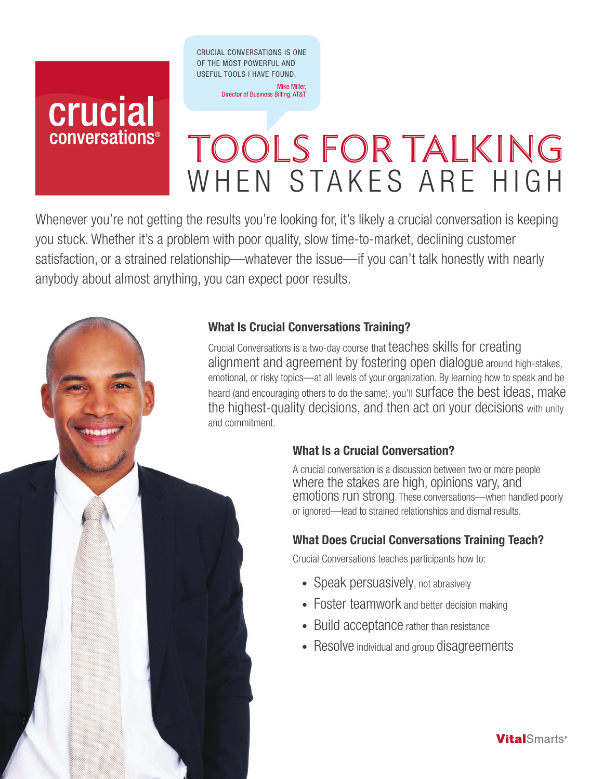CRUCIAL CONVERSATIONS IS ONE OF THE MOST POWERFUL AND USEFUL TOOLS I HAVE FOUND.

> Mike Miller, Director of Business Billing, AT&T

# crucial conversations<sup>®</sup>

# Tools for Talking WHEN STAKES ARE HIGH

Whenever you're not getting the results you're looking for, it's likely a crucial conversation is keeping you stuck. Whether it's a problem with poor quality, slow time-to-market, declining customer satisfaction, or a strained relationship—whatever the issue—if you can't talk honestly with nearly anybody about almost anything, you can expect poor results.



Crucial Conversations is a two-day course that teaches skills for creating alignment and agreement by fostering open dialogue around high-stakes, emotional, or risky topics—at all levels of your organization. By learning how to speak and be heard (and encouraging others to do the same), you'll Surface the best ideas, make the highest-quality decisions, and then act on your decisions with unity and commitment.

# What Is a Crucial Conversation?

A crucial conversation is a discussion between two or more people where the stakes are high, opinions vary, and emotions run strong. These conversations—when handled poorly or ignored—lead to strained relationships and dismal results.

# What Does Crucial Conversations Training Teach?

Crucial Conversations teaches participants how to:

- Speak persuasively, not abrasively
- Foster teamwork and better decision making
- Build acceptance rather than resistance
- Resolve individual and group disagreements